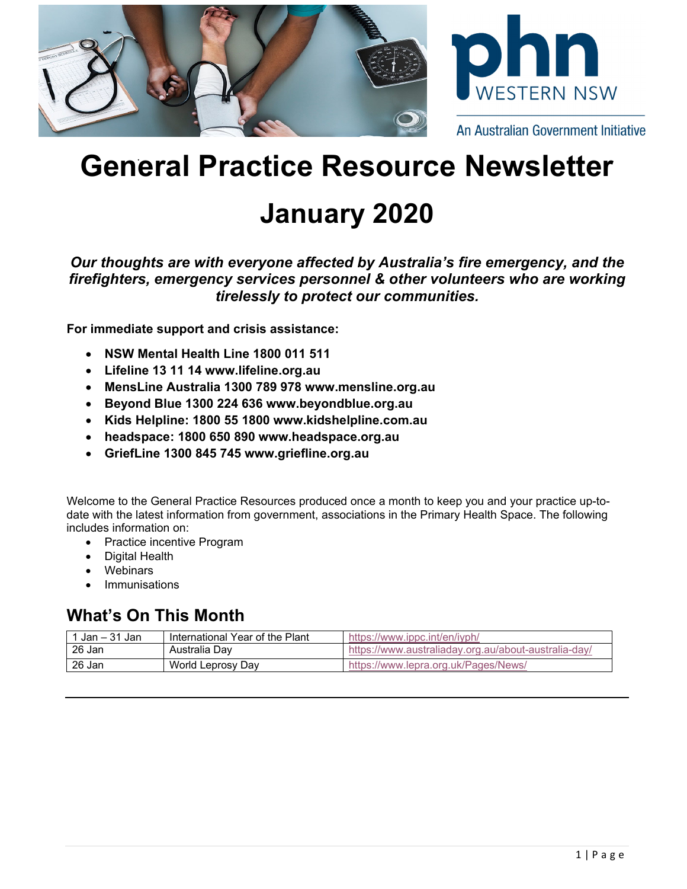

# **General Practice Resource Newsletter**

# **January 2020**

*Our thoughts are with everyone affected by Australia's fire emergency, and the firefighters, emergency services personnel & other volunteers who are working tirelessly to protect our communities.* 

**For immediate support and crisis assistance:** 

- **NSW Mental Health Line 1800 011 511**
- **Lifeline 13 11 14 www.lifeline.org.au**
- **MensLine Australia 1300 789 978 www.mensline.org.au**
- **Beyond Blue 1300 224 636 www.beyondblue.org.au**
- **Kids Helpline: 1800 55 1800 www.kidshelpline.com.au**
- **headspace: 1800 650 890 www.headspace.org.au**
- **GriefLine 1300 845 745 www.griefline.org.au**

Welcome to the General Practice Resources produced once a month to keep you and your practice up-todate with the latest information from government, associations in the Primary Health Space. The following includes information on:

- Practice incentive Program
- Digital Health
- Webinars
- Immunisations

## **What's On This Month**

| Jan – 31 Jan | International Year of the Plant | https://www.ippc.int/en/iyph/                        |
|--------------|---------------------------------|------------------------------------------------------|
| 26 Jan       | Australia Day                   | https://www.australiaday.org.au/about-australia-day/ |
| 26 Jan       | World Leprosy Day               | https://www.lepra.org.uk/Pages/News/                 |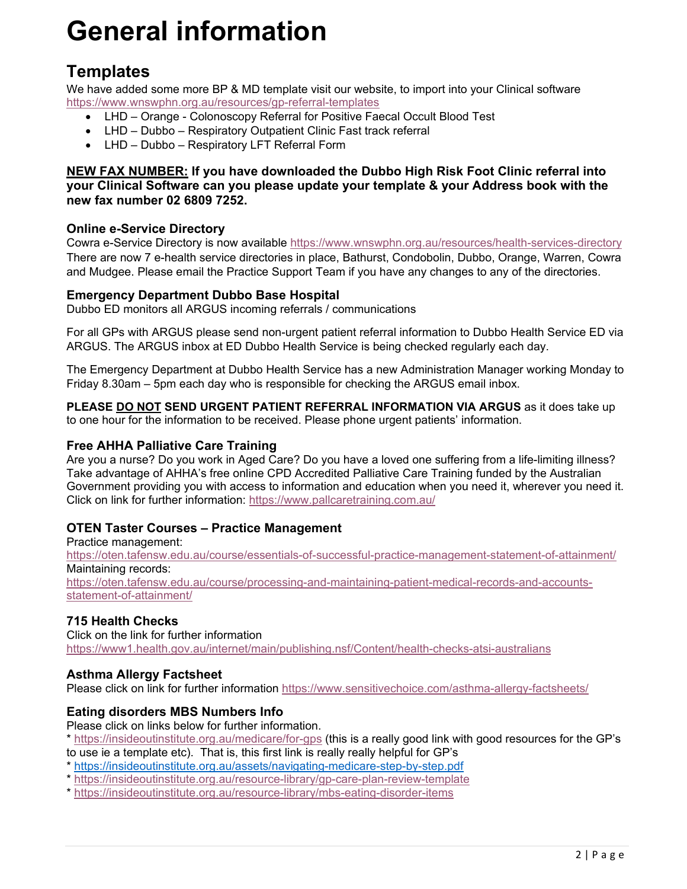# **General information**

## **Templates**

We have added some more BP & MD template visit our website, to import into your Clinical software https://www.wnswphn.org.au/resources/gp-referral-templates

- LHD Orange Colonoscopy Referral for Positive Faecal Occult Blood Test
- LHD Dubbo Respiratory Outpatient Clinic Fast track referral
- LHD Dubbo Respiratory LFT Referral Form

### **NEW FAX NUMBER: If you have downloaded the Dubbo High Risk Foot Clinic referral into your Clinical Software can you please update your template & your Address book with the new fax number 02 6809 7252.**

### **Online e-Service Directory**

Cowra e-Service Directory is now available https://www.wnswphn.org.au/resources/health-services-directory There are now 7 e-health service directories in place, Bathurst, Condobolin, Dubbo, Orange, Warren, Cowra and Mudgee. Please email the Practice Support Team if you have any changes to any of the directories.

### **Emergency Department Dubbo Base Hospital**

Dubbo ED monitors all ARGUS incoming referrals / communications

For all GPs with ARGUS please send non-urgent patient referral information to Dubbo Health Service ED via ARGUS. The ARGUS inbox at ED Dubbo Health Service is being checked regularly each day.

The Emergency Department at Dubbo Health Service has a new Administration Manager working Monday to Friday 8.30am – 5pm each day who is responsible for checking the ARGUS email inbox.

**PLEASE DO NOT SEND URGENT PATIENT REFERRAL INFORMATION VIA ARGUS** as it does take up to one hour for the information to be received. Please phone urgent patients' information.

### **Free AHHA Palliative Care Training**

Are you a nurse? Do you work in Aged Care? Do you have a loved one suffering from a life-limiting illness? Take advantage of AHHA's free online CPD Accredited Palliative Care Training funded by the Australian Government providing you with access to information and education when you need it, wherever you need it. Click on link for further information: https://www.pallcaretraining.com.au/

### **OTEN Taster Courses – Practice Management**

Practice management: https://oten.tafensw.edu.au/course/essentials-of-successful-practice-management-statement-of-attainment/ Maintaining records: https://oten.tafensw.edu.au/course/processing-and-maintaining-patient-medical-records-and-accountsstatement-of-attainment/

### **715 Health Checks**

Click on the link for further information https://www1.health.gov.au/internet/main/publishing.nsf/Content/health-checks-atsi-australians

### **Asthma Allergy Factsheet**

Please click on link for further information https://www.sensitivechoice.com/asthma-allergy-factsheets/

### **Eating disorders MBS Numbers Info**

Please click on links below for further information.

\* https://insideoutinstitute.org.au/medicare/for-gps (this is a really good link with good resources for the GP's to use ie a template etc). That is, this first link is really really helpful for GP's

- \* https://insideoutinstitute.org.au/assets/navigating-medicare-step-by-step.pdf
- \* https://insideoutinstitute.org.au/resource-library/gp-care-plan-review-template
- \* https://insideoutinstitute.org.au/resource-library/mbs-eating-disorder-items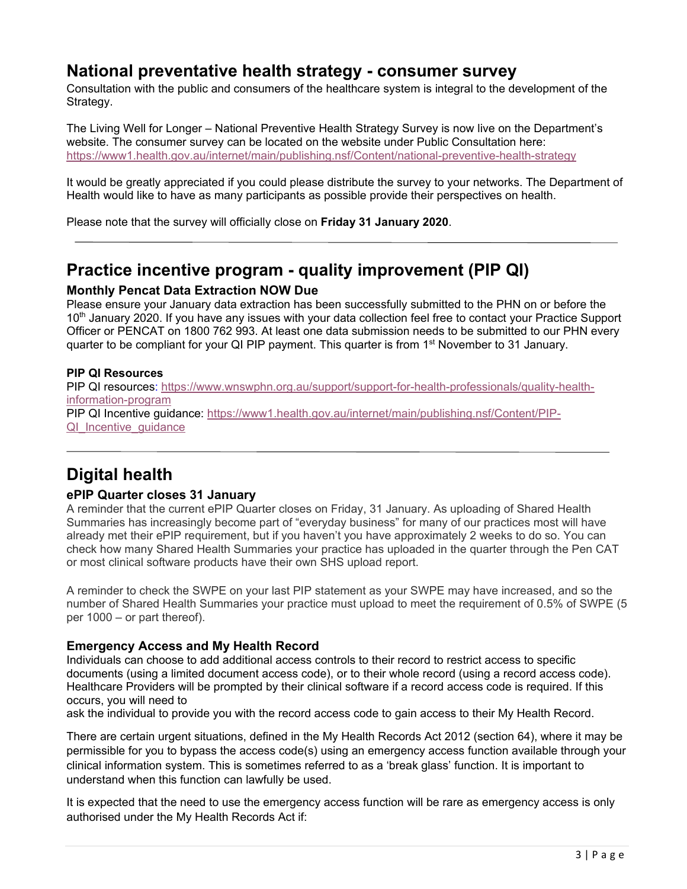### **National preventative health strategy - consumer survey**

Consultation with the public and consumers of the healthcare system is integral to the development of the Strategy.

The Living Well for Longer – National Preventive Health Strategy Survey is now live on the Department's website. The consumer survey can be located on the website under Public Consultation here: https://www1.health.gov.au/internet/main/publishing.nsf/Content/national-preventive-health-strategy

It would be greatly appreciated if you could please distribute the survey to your networks. The Department of Health would like to have as many participants as possible provide their perspectives on health.

Please note that the survey will officially close on **Friday 31 January 2020**.

## **Practice incentive program - quality improvement (PIP QI)**

### **Monthly Pencat Data Extraction NOW Due**

Please ensure your January data extraction has been successfully submitted to the PHN on or before the 10<sup>th</sup> January 2020. If you have any issues with your data collection feel free to contact your Practice Support Officer or PENCAT on 1800 762 993. At least one data submission needs to be submitted to our PHN every quarter to be compliant for your QI PIP payment. This quarter is from 1<sup>st</sup> November to 31 January.

### **PIP QI Resources**

PIP QI resources: https://www.wnswphn.org.au/support/support-for-health-professionals/quality-healthinformation-program PIP QI Incentive guidance: https://www1.health.gov.au/internet/main/publishing.nsf/Content/PIP-QI Incentive guidance

## **Digital health**

### **ePIP Quarter closes 31 January**

A reminder that the current ePIP Quarter closes on Friday, 31 January. As uploading of Shared Health Summaries has increasingly become part of "everyday business" for many of our practices most will have already met their ePIP requirement, but if you haven't you have approximately 2 weeks to do so. You can check how many Shared Health Summaries your practice has uploaded in the quarter through the Pen CAT or most clinical software products have their own SHS upload report.

A reminder to check the SWPE on your last PIP statement as your SWPE may have increased, and so the number of Shared Health Summaries your practice must upload to meet the requirement of 0.5% of SWPE (5 per 1000 – or part thereof).

### **Emergency Access and My Health Record**

Individuals can choose to add additional access controls to their record to restrict access to specific documents (using a limited document access code), or to their whole record (using a record access code). Healthcare Providers will be prompted by their clinical software if a record access code is required. If this occurs, you will need to

ask the individual to provide you with the record access code to gain access to their My Health Record.

There are certain urgent situations, defined in the My Health Records Act 2012 (section 64), where it may be permissible for you to bypass the access code(s) using an emergency access function available through your clinical information system. This is sometimes referred to as a 'break glass' function. It is important to understand when this function can lawfully be used.

It is expected that the need to use the emergency access function will be rare as emergency access is only authorised under the My Health Records Act if: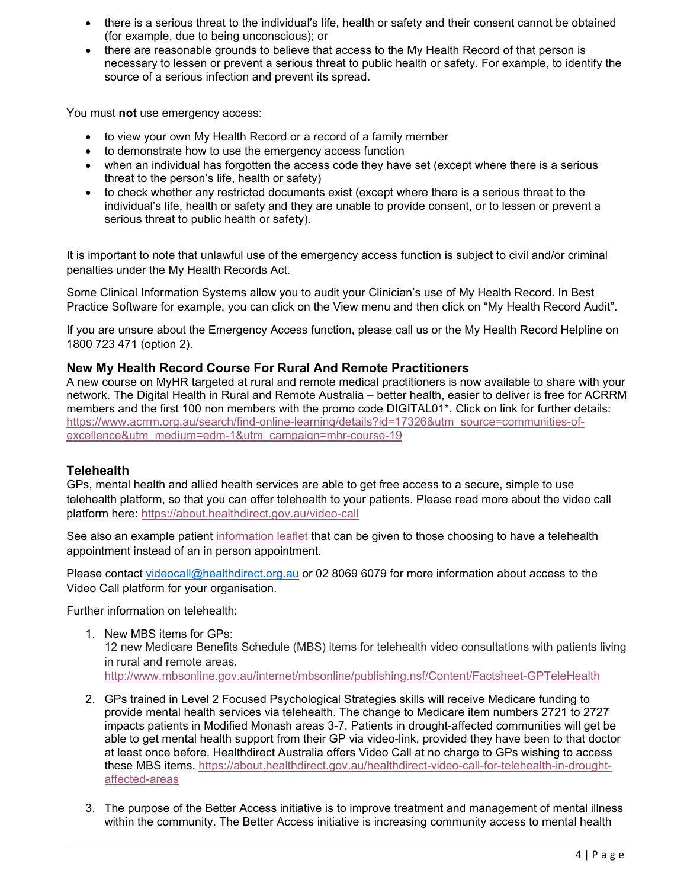- there is a serious threat to the individual's life, health or safety and their consent cannot be obtained (for example, due to being unconscious); or
- there are reasonable grounds to believe that access to the My Health Record of that person is necessary to lessen or prevent a serious threat to public health or safety. For example, to identify the source of a serious infection and prevent its spread.

You must **not** use emergency access:

- to view your own My Health Record or a record of a family member
- to demonstrate how to use the emergency access function
- when an individual has forgotten the access code they have set (except where there is a serious threat to the person's life, health or safety)
- to check whether any restricted documents exist (except where there is a serious threat to the individual's life, health or safety and they are unable to provide consent, or to lessen or prevent a serious threat to public health or safety).

It is important to note that unlawful use of the emergency access function is subject to civil and/or criminal penalties under the My Health Records Act.

Some Clinical Information Systems allow you to audit your Clinician's use of My Health Record. In Best Practice Software for example, you can click on the View menu and then click on "My Health Record Audit".

If you are unsure about the Emergency Access function, please call us or the My Health Record Helpline on 1800 723 471 (option 2).

### **New My Health Record Course For Rural And Remote Practitioners**

A new course on MyHR targeted at rural and remote medical practitioners is now available to share with your network. The Digital Health in Rural and Remote Australia – better health, easier to deliver is free for ACRRM members and the first 100 non members with the promo code DIGITAL01\*. Click on link for further details: https://www.acrrm.org.au/search/find-online-learning/details?id=17326&utm\_source=communities-ofexcellence&utm\_medium=edm-1&utm\_campaign=mhr-course-19

### **Telehealth**

GPs, mental health and allied health services are able to get free access to a secure, simple to use telehealth platform, so that you can offer telehealth to your patients. Please read more about the video call platform here: https://about.healthdirect.gov.au/video-call

See also an example patient information leaflet that can be given to those choosing to have a telehealth appointment instead of an in person appointment.

Please contact videocall@healthdirect.org.au or 02 8069 6079 for more information about access to the Video Call platform for your organisation.

Further information on telehealth:

- 1. New MBS items for GPs: 12 new Medicare Benefits Schedule (MBS) items for telehealth video consultations with patients living in rural and remote areas. http://www.mbsonline.gov.au/internet/mbsonline/publishing.nsf/Content/Factsheet-GPTeleHealth
- 2. GPs trained in Level 2 Focused Psychological Strategies skills will receive Medicare funding to provide mental health services via telehealth. The change to Medicare item numbers 2721 to 2727 impacts patients in Modified Monash areas 3-7. Patients in drought-affected communities will get be able to get mental health support from their GP via video-link, provided they have been to that doctor at least once before. Healthdirect Australia offers Video Call at no charge to GPs wishing to access these MBS items. https://about.healthdirect.gov.au/healthdirect-video-call-for-telehealth-in-droughtaffected-areas
- 3. The purpose of the Better Access initiative is to improve treatment and management of mental illness within the community. The Better Access initiative is increasing community access to mental health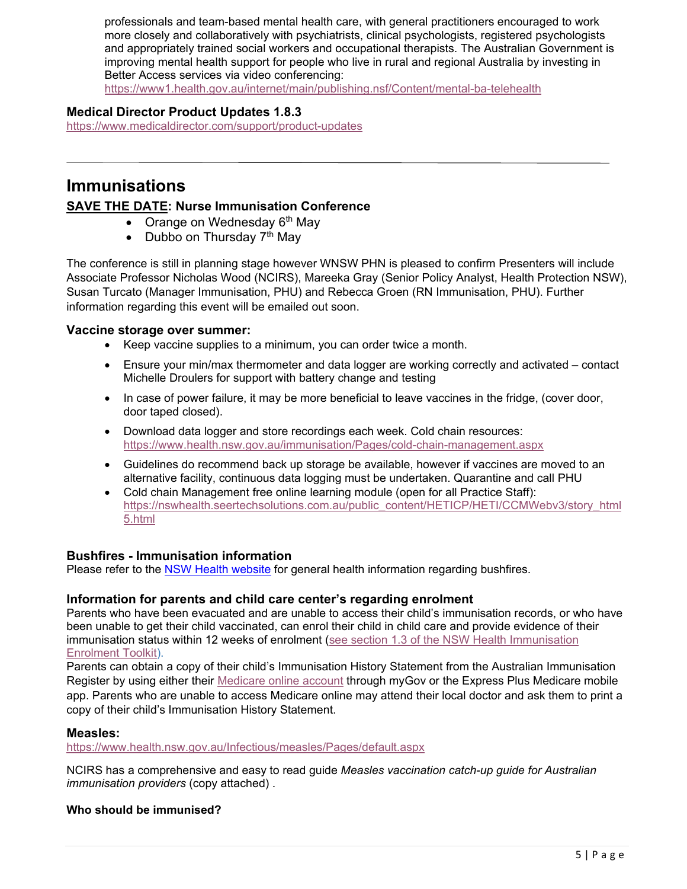professionals and team-based mental health care, with general practitioners encouraged to work more closely and collaboratively with psychiatrists, clinical psychologists, registered psychologists and appropriately trained social workers and occupational therapists. The Australian Government is improving mental health support for people who live in rural and regional Australia by investing in Better Access services via video conferencing:

https://www1.health.gov.au/internet/main/publishing.nsf/Content/mental-ba-telehealth

### **Medical Director Product Updates 1.8.3**

https://www.medicaldirector.com/support/product-updates

### **Immunisations**

### **SAVE THE DATE: Nurse Immunisation Conference**

- Orange on Wednesday  $6<sup>th</sup>$  May
- Dubbo on Thursday  $7<sup>th</sup>$  May

The conference is still in planning stage however WNSW PHN is pleased to confirm Presenters will include Associate Professor Nicholas Wood (NCIRS), Mareeka Gray (Senior Policy Analyst, Health Protection NSW), Susan Turcato (Manager Immunisation, PHU) and Rebecca Groen (RN Immunisation, PHU). Further information regarding this event will be emailed out soon.

### **Vaccine storage over summer:**

- Keep vaccine supplies to a minimum, you can order twice a month.
- Ensure your min/max thermometer and data logger are working correctly and activated contact Michelle Droulers for support with battery change and testing
- In case of power failure, it may be more beneficial to leave vaccines in the fridge, (cover door, door taped closed).
- Download data logger and store recordings each week. Cold chain resources: https://www.health.nsw.gov.au/immunisation/Pages/cold-chain-management.aspx
- Guidelines do recommend back up storage be available, however if vaccines are moved to an alternative facility, continuous data logging must be undertaken. Quarantine and call PHU
- Cold chain Management free online learning module (open for all Practice Staff): https://nswhealth.seertechsolutions.com.au/public\_content/HETICP/HETI/CCMWebv3/story\_html 5.html

### **Bushfires - Immunisation information**

Please refer to the NSW Health website for general health information regarding bushfires.

### **Information for parents and child care center's regarding enrolment**

Parents who have been evacuated and are unable to access their child's immunisation records, or who have been unable to get their child vaccinated, can enrol their child in child care and provide evidence of their immunisation status within 12 weeks of enrolment (see section 1.3 of the NSW Health Immunisation Enrolment Toolkit).

Parents can obtain a copy of their child's Immunisation History Statement from the Australian Immunisation Register by using either their Medicare online account through myGov or the Express Plus Medicare mobile app. Parents who are unable to access Medicare online may attend their local doctor and ask them to print a copy of their child's Immunisation History Statement.

### **Measles:**

https://www.health.nsw.gov.au/Infectious/measles/Pages/default.aspx

NCIRS has a comprehensive and easy to read guide *Measles vaccination catch-up guide for Australian immunisation providers* (copy attached) .

### **Who should be immunised?**